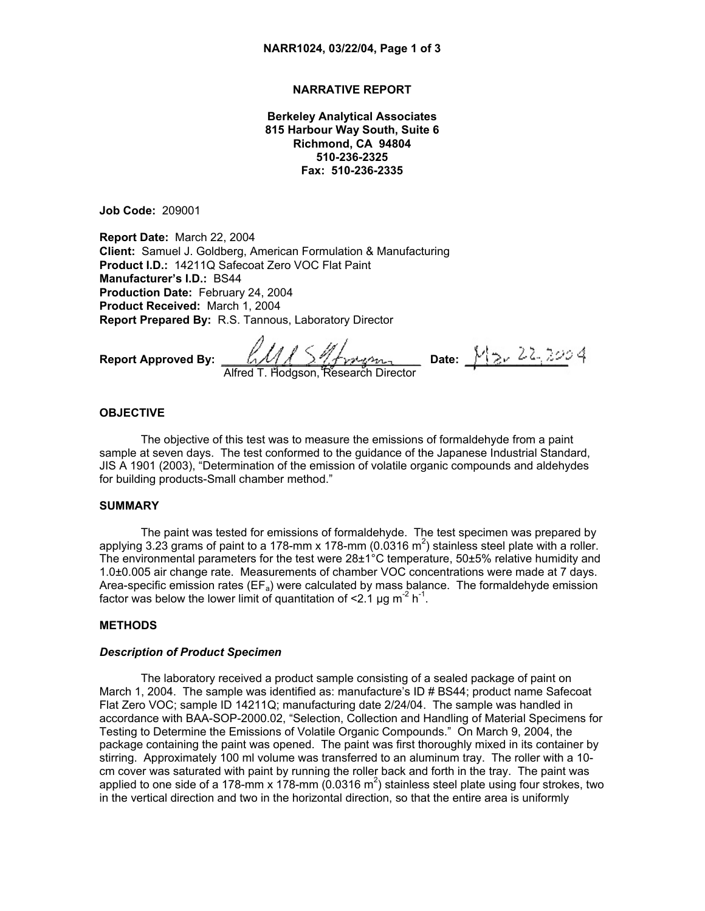### **NARRATIVE REPORT**

**Berkeley Analytical Associates 815 Harbour Way South, Suite 6 Richmond, CA 94804 510-236-2325 Fax: 510-236-2335** 

**Job Code:** 209001

**Report Date:** March 22, 2004 **Client:** Samuel J. Goldberg, American Formulation & Manufacturing **Product I.D.:** 14211Q Safecoat Zero VOC Flat Paint **Manufacturer's I.D.:** BS44 **Production Date:** February 24, 2004 **Product Received:** March 1, 2004 **Report Prepared By:** R.S. Tannous, Laboratory Director

**Report Approved By:** \_\_\_\_\_\_\_\_\_\_\_\_\_\_\_\_\_\_\_\_\_\_\_\_\_\_\_\_\_\_\_ **Date:** \_\_\_\_\_\_\_\_\_\_\_\_\_\_\_\_ Alfred T. Hodgson, Research Director

#### **OBJECTIVE**

The objective of this test was to measure the emissions of formaldehyde from a paint sample at seven days. The test conformed to the guidance of the Japanese Industrial Standard, JIS A 1901 (2003), "Determination of the emission of volatile organic compounds and aldehydes for building products-Small chamber method."

#### **SUMMARY**

The paint was tested for emissions of formaldehyde. The test specimen was prepared by applying 3.23 grams of paint to a 178-mm x 178-mm (0.0316 m<sup>2</sup>) stainless steel plate with a roller. The environmental parameters for the test were 28±1°C temperature, 50±5% relative humidity and 1.0±0.005 air change rate. Measurements of chamber VOC concentrations were made at 7 days. Area-specific emission rates ( $EF_a$ ) were calculated by mass balance. The formaldehyde emission factor was below the lower limit of quantitation of  $\leq 2.1$  µg m<sup>-2</sup> h<sup>-1</sup>.

#### **METHODS**

#### *Description of Product Specimen*

The laboratory received a product sample consisting of a sealed package of paint on March 1, 2004. The sample was identified as: manufacture's ID # BS44; product name Safecoat Flat Zero VOC; sample ID 14211Q; manufacturing date 2/24/04. The sample was handled in accordance with BAA-SOP-2000.02, "Selection, Collection and Handling of Material Specimens for Testing to Determine the Emissions of Volatile Organic Compounds." On March 9, 2004, the package containing the paint was opened. The paint was first thoroughly mixed in its container by stirring. Approximately 100 ml volume was transferred to an aluminum tray. The roller with a 10 cm cover was saturated with paint by running the roller back and forth in the tray. The paint was applied to one side of a 178-mm x 178-mm (0.0316 m<sup>2</sup>) stainless steel plate using four strokes, two in the vertical direction and two in the horizontal direction, so that the entire area is uniformly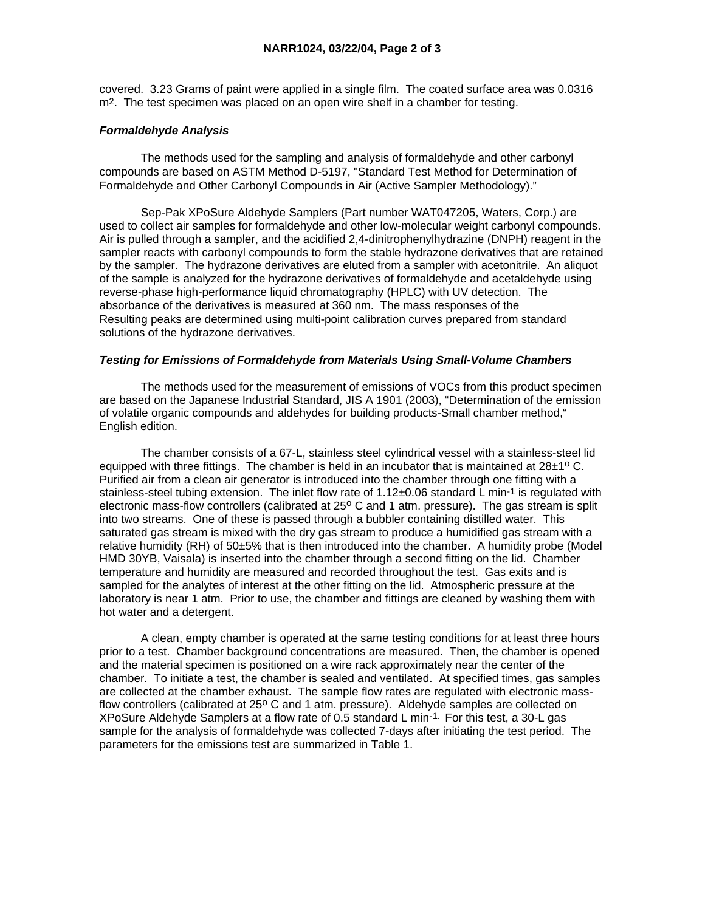covered. 3.23 Grams of paint were applied in a single film. The coated surface area was 0.0316 m2. The test specimen was placed on an open wire shelf in a chamber for testing.

# *Formaldehyde Analysis*

 The methods used for the sampling and analysis of formaldehyde and other carbonyl compounds are based on ASTM Method D-5197, "Standard Test Method for Determination of Formaldehyde and Other Carbonyl Compounds in Air (Active Sampler Methodology)."

 Sep-Pak XPoSure Aldehyde Samplers (Part number WAT047205, Waters, Corp.) are used to collect air samples for formaldehyde and other low-molecular weight carbonyl compounds. Air is pulled through a sampler, and the acidified 2,4-dinitrophenylhydrazine (DNPH) reagent in the sampler reacts with carbonyl compounds to form the stable hydrazone derivatives that are retained by the sampler. The hydrazone derivatives are eluted from a sampler with acetonitrile. An aliquot of the sample is analyzed for the hydrazone derivatives of formaldehyde and acetaldehyde using reverse-phase high-performance liquid chromatography (HPLC) with UV detection. The absorbance of the derivatives is measured at 360 nm. The mass responses of the Resulting peaks are determined using multi-point calibration curves prepared from standard solutions of the hydrazone derivatives.

# *Testing for Emissions of Formaldehyde from Materials Using Small-Volume Chambers*

 The methods used for the measurement of emissions of VOCs from this product specimen are based on the Japanese Industrial Standard, JIS A 1901 (2003), "Determination of the emission of volatile organic compounds and aldehydes for building products-Small chamber method," English edition.

 The chamber consists of a 67-L, stainless steel cylindrical vessel with a stainless-steel lid equipped with three fittings. The chamber is held in an incubator that is maintained at  $28\pm10$  C. Purified air from a clean air generator is introduced into the chamber through one fitting with a stainless-steel tubing extension. The inlet flow rate of 1.12±0.06 standard L min-1 is regulated with electronic mass-flow controllers (calibrated at 25° C and 1 atm. pressure). The gas stream is split into two streams. One of these is passed through a bubbler containing distilled water. This saturated gas stream is mixed with the dry gas stream to produce a humidified gas stream with a relative humidity (RH) of 50±5% that is then introduced into the chamber. A humidity probe (Model HMD 30YB, Vaisala) is inserted into the chamber through a second fitting on the lid. Chamber temperature and humidity are measured and recorded throughout the test. Gas exits and is sampled for the analytes of interest at the other fitting on the lid. Atmospheric pressure at the laboratory is near 1 atm. Prior to use, the chamber and fittings are cleaned by washing them with hot water and a detergent.

 A clean, empty chamber is operated at the same testing conditions for at least three hours prior to a test. Chamber background concentrations are measured. Then, the chamber is opened and the material specimen is positioned on a wire rack approximately near the center of the chamber. To initiate a test, the chamber is sealed and ventilated. At specified times, gas samples are collected at the chamber exhaust. The sample flow rates are regulated with electronic massflow controllers (calibrated at  $25^{\circ}$  C and 1 atm. pressure). Aldehyde samples are collected on XPoSure Aldehyde Samplers at a flow rate of 0.5 standard L min-1. For this test, a 30-L gas sample for the analysis of formaldehyde was collected 7-days after initiating the test period. The parameters for the emissions test are summarized in Table 1.